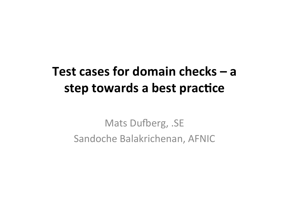#### Test cases for domain checks – a step towards a best practice

Mats Dufberg, .SE Sandoche Balakrichenan, AFNIC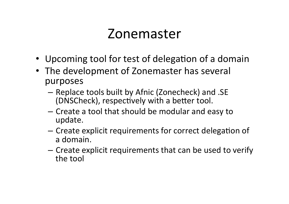#### Zonemaster

- Upcoming tool for test of delegation of a domain
- The development of Zonemaster has several purposes
	- Replace tools built by Afnic (Zonecheck) and .SE (DNSCheck), respectively with a better tool.
	- Create a tool that should be modular and easy to update.
	- Create explicit requirements for correct delegation of a domain.
	- $-$  Create explicit requirements that can be used to verify the tool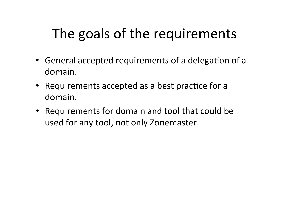# The goals of the requirements

- General accepted requirements of a delegation of a domain.
- Requirements accepted as a best practice for a domain.
- Requirements for domain and tool that could be used for any tool, not only Zonemaster.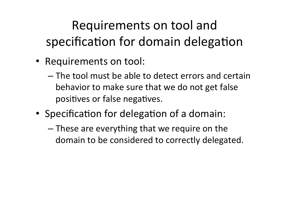# Requirements on tool and specification for domain delegation

- Requirements on tool:
	- $-$  The tool must be able to detect errors and certain behavior to make sure that we do not get false positives or false negatives.
- Specification for delegation of a domain:
	- $-$  These are everything that we require on the domain to be considered to correctly delegated.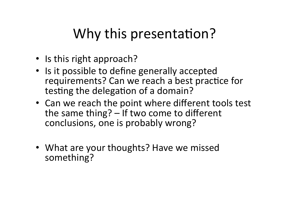# Why this presentation?

- Is this right approach?
- Is it possible to define generally accepted requirements? Can we reach a best practice for testing the delegation of a domain?
- Can we reach the point where different tools test the same thing? - If two come to different conclusions, one is probably wrong?
- What are your thoughts? Have we missed something?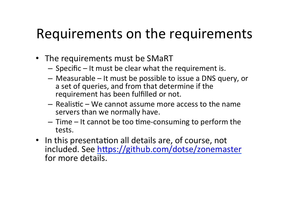#### Requirements on the requirements

- The requirements must be SMaRT
	- $-$  Specific  $-$  It must be clear what the requirement is.
	- $-$  Measurable  $-$  It must be possible to issue a DNS query, or a set of queries, and from that determine if the requirement has been fulfilled or not.
	- $-$  Realistic We cannot assume more access to the name servers than we normally have.
	- $-$  Time  $-$  It cannot be too time-consuming to perform the tests.
- In this presentation all details are, of course, not included. See https://github.com/dotse/zonemaster for more details.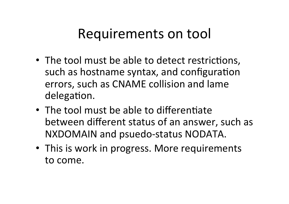#### Requirements on tool

- The tool must be able to detect restrictions, such as hostname syntax, and configuration errors, such as CNAME collision and lame delegation.
- $\bullet$  The tool must be able to differentiate between different status of an answer, such as NXDOMAIN and psuedo-status NODATA.
- This is work in progress. More requirements to come.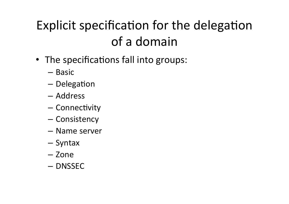# Explicit specification for the delegation of a domain

- The specifications fall into groups:
	- Basic
	- $-$  Delegation
	- Address
	- $-$  Connectivity
	- Consistency
	- Name server
	- Syntax
	- Zone
	- DNSSEC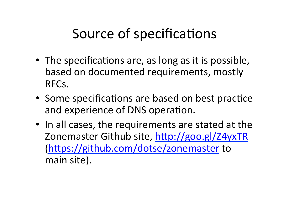# Source of specifications

- The specifications are, as long as it is possible, based on documented requirements, mostly RFCs.
- Some specifications are based on best practice and experience of DNS operation.
- In all cases, the requirements are stated at the Zonemaster Github site, http://goo.gl/Z4yxTR (https://github.com/dotse/zonemaster to main site).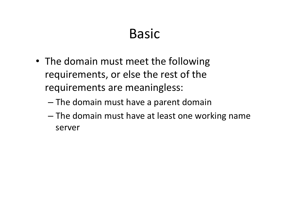## Basic

- The domain must meet the following requirements, or else the rest of the requirements are meaningless:
	- $-$  The domain must have a parent domain
	- The domain must have at least one working name server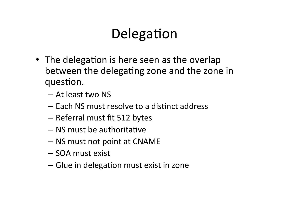# Delegation

- The delegation is here seen as the overlap between the delegating zone and the zone in question.
	- At least two NS
	- $-$  Each NS must resolve to a distinct address
	- Referral must fit 512 bytes
	- $-$  NS must be authoritative
	- $-$  NS must not point at CNAME
	- SOA must exist
	- $-$  Glue in delegation must exist in zone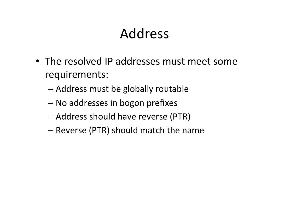### Address

- The resolved IP addresses must meet some requirements:
	- Address must be globally routable
	- No addresses in bogon prefixes
	- $-$  Address should have reverse (PTR)
	- Reverse (PTR) should match the name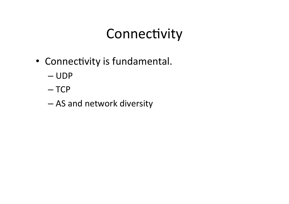# Connectivity

- Connectivity is fundamental.
	- UDP
	- TCP
	- AS and network diversity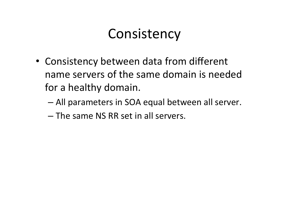#### **Consistency**

- Consistency between data from different name servers of the same domain is needed for a healthy domain.
	- All parameters in SOA equal between all server.
	- $-$  The same NS RR set in all servers.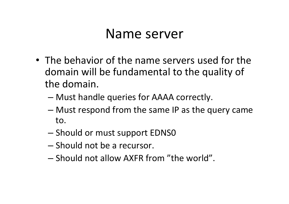#### Name server

- The behavior of the name servers used for the domain will be fundamental to the quality of the domain.
	- Must handle queries for AAAA correctly.
	- $-$  Must respond from the same IP as the query came to.
	- Should or must support EDNS0
	- Should not be a recursor.
	- $-$  Should not allow AXFR from "the world".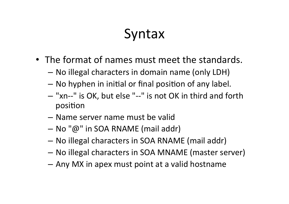## Syntax

- The format of names must meet the standards.
	- No illegal characters in domain name (only LDH)
	- No hyphen in initial or final position of any label.
	- $-$  "xn--" is OK, but else "--" is not OK in third and forth position
	- $-$  Name server name must be valid
	- $-$  No " $\omega$ " in SOA RNAME (mail addr)
	- No illegal characters in SOA RNAME (mail addr)
	- No illegal characters in SOA MNAME (master server)
	- $-$  Any MX in apex must point at a valid hostname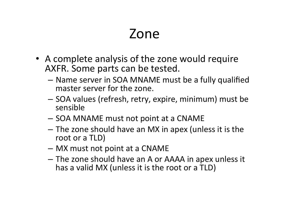#### Zone

- A complete analysis of the zone would require AXFR. Some parts can be tested.
	- $-$  Name server in SOA MNAME must be a fully qualified master server for the zone.
	- SOA values (refresh, retry, expire, minimum) must be sensible
	- SOA MNAME must not point at a CNAME
	- $-$  The zone should have an MX in apex (unless it is the root or a TLD)
	- MX must not point at a CNAME
	- $-$  The zone should have an A or AAAA in apex unless it has a valid MX (unless it is the root or a TLD)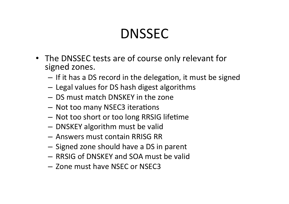# DNSSEC

- The DNSSEC tests are of course only relevant for signed zones.
	- If it has a DS record in the delegation, it must be signed
	- Legal values for DS hash digest algorithms
	- $-$  DS must match DNSKEY in the zone
	- Not too many NSEC3 iterations
	- Not too short or too long RRSIG lifetime
	- DNSKEY algorithm must be valid
	- Answers must contain RRISG RR
	- $-$  Signed zone should have a DS in parent
	- RRSIG of DNSKEY and SOA must be valid
	- Zone must have NSEC or NSEC3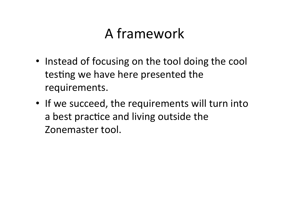# A framework

- Instead of focusing on the tool doing the cool testing we have here presented the requirements.
- If we succeed, the requirements will turn into a best practice and living outside the Zonemaster tool.